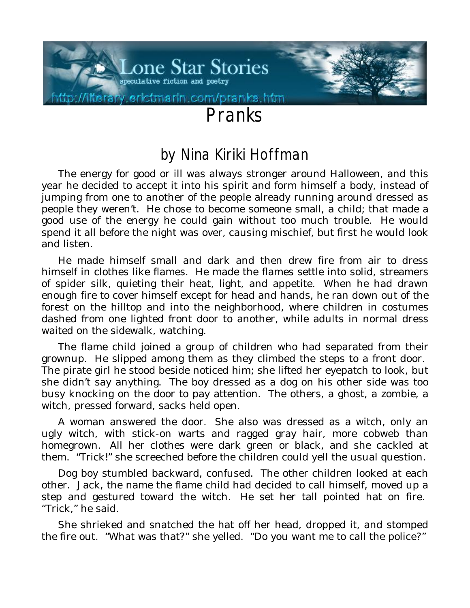

## *by Nina Kiriki Hoffman*

The energy for good or ill was always stronger around Halloween, and this year he decided to accept it into his spirit and form himself a body, instead of jumping from one to another of the people already running around dressed as people they weren't. He chose to become someone small, a child; that made a good use of the energy he could gain without too much trouble. He would spend it all before the night was over, causing mischief, but first he would look and listen.

He made himself small and dark and then drew fire from air to dress himself in clothes like flames. He made the flames settle into solid, streamers of spider silk, quieting their heat, light, and appetite. When he had drawn enough fire to cover himself except for head and hands, he ran down out of the forest on the hilltop and into the neighborhood, where children in costumes dashed from one lighted front door to another, while adults in normal dress waited on the sidewalk, watching.

The flame child joined a group of children who had separated from their grownup. He slipped among them as they climbed the steps to a front door. The pirate girl he stood beside noticed him; she lifted her eyepatch to look, but she didn't say anything. The boy dressed as a dog on his other side was too busy knocking on the door to pay attention. The others, a ghost, a zombie, a witch, pressed forward, sacks held open.

A woman answered the door. She also was dressed as a witch, only an ugly witch, with stick-on warts and ragged gray hair, more cobweb than homegrown. All her clothes were dark green or black, and she cackled at them. "Trick!" she screeched before the children could yell the usual question.

Dog boy stumbled backward, confused. The other children looked at each other. Jack, the name the flame child had decided to call himself, moved up a step and gestured toward the witch. He set her tall pointed hat on fire. "Trick," he said.

She shrieked and snatched the hat off her head, dropped it, and stomped the fire out. "What was that?" she yelled. "Do you want me to call the police?"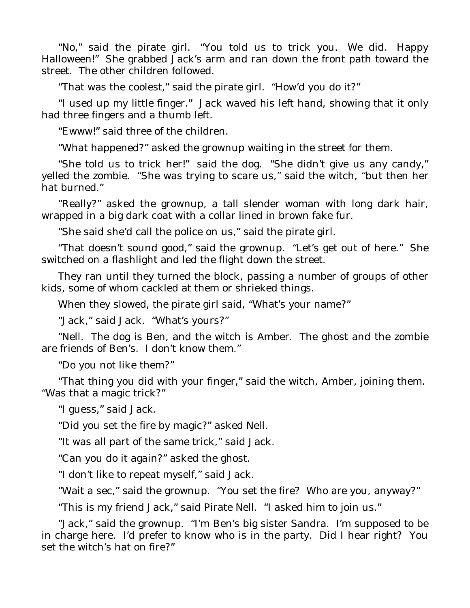"No," said the pirate girl. "You told us to trick you. We did. Happy Halloween!" She grabbed Jack's arm and ran down the front path toward the street. The other children followed.

"That was the coolest," said the pirate girl. "How'd you do it?"

"I used up my little finger." Jack waved his left hand, showing that it only had three fingers and a thumb left.

"Ewww!" said three of the children.

"What happened?" asked the grownup waiting in the street for them.

"She told us to trick her!" said the dog. "She didn't give us any candy," yelled the zombie. "She was trying to scare us," said the witch, "but then her hat burned."

"Really?" asked the grownup, a tall slender woman with long dark hair, wrapped in a big dark coat with a collar lined in brown fake fur.

"She said she'd call the police on us," said the pirate girl.

"That doesn't sound good," said the grownup. "Let's get out of here." She switched on a flashlight and led the flight down the street.

They ran until they turned the block, passing a number of groups of other kids, some of whom cackled at them or shrieked things.

When they slowed, the pirate girl said, "What's your name?"

"Jack," said Jack. "What's yours?"

"Nell. The dog is Ben, and the witch is Amber. The ghost and the zombie are friends of Ben's. I don't know them."

"Do you not like them?"

"That thing you did with your finger," said the witch, Amber, joining them. "Was that a magic trick?"

"I guess," said Jack.

"Did you set the fire by magic?" asked Nell.

"It was all part of the same trick," said Jack.

"Can you do it again?" asked the ghost.

"I don't like to repeat myself," said Jack.

"Wait a sec," said the grownup. "You set the fire? Who are you, anyway?"

"This is my friend Jack," said Pirate Nell. "I asked him to join us."

"Jack," said the grownup. "I'm Ben's big sister Sandra. I'm supposed to be in charge here. I'd prefer to know who is in the party. Did I hear right? You set the witch's hat on fire?"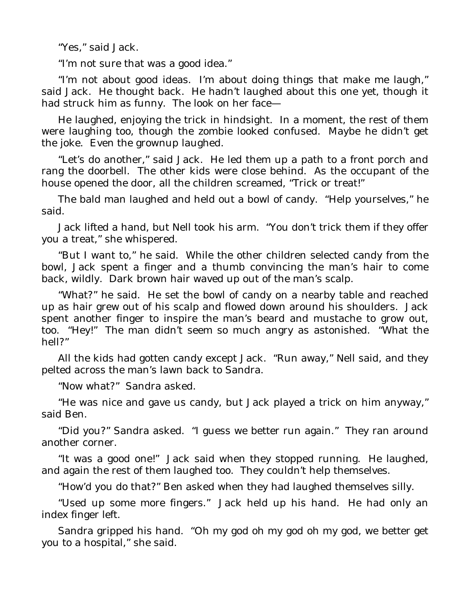"Yes," said Jack.

"I'm not sure that was a good idea."

"I'm not about good ideas. I'm about doing things that make me laugh," said Jack. He thought back. He hadn't laughed about this one yet, though it had struck him as funny. The look on her face—

He laughed, enjoying the trick in hindsight. In a moment, the rest of them were laughing too, though the zombie looked confused. Maybe he didn't get the joke. Even the grownup laughed.

"Let's do another," said Jack. He led them up a path to a front porch and rang the doorbell. The other kids were close behind. As the occupant of the house opened the door, all the children screamed, "Trick or treat!"

The bald man laughed and held out a bowl of candy. "Help yourselves," he said.

Jack lifted a hand, but Nell took his arm. "You don't trick them if they offer you a treat," she whispered.

"But I want to," he said. While the other children selected candy from the bowl, Jack spent a finger and a thumb convincing the man's hair to come back, wildly. Dark brown hair waved up out of the man's scalp.

"What?" he said. He set the bowl of candy on a nearby table and reached up as hair grew out of his scalp and flowed down around his shoulders. Jack spent another finger to inspire the man's beard and mustache to grow out, too. "Hey!" The man didn't seem so much angry as astonished. "What the hell?"

All the kids had gotten candy except Jack. "Run away," Nell said, and they pelted across the man's lawn back to Sandra.

"Now what?" Sandra asked.

"He was nice and gave us candy, but Jack played a trick on him anyway," said Ben.

"Did you?" Sandra asked. "I guess we better run again." They ran around another corner.

"It was a good one!" Jack said when they stopped running. He laughed, and again the rest of them laughed too. They couldn't help themselves.

"How'd you do that?" Ben asked when they had laughed themselves silly.

"Used up some more fingers." Jack held up his hand. He had only an index finger left.

Sandra gripped his hand. "Oh my god oh my god oh my god, we better get you to a hospital," she said.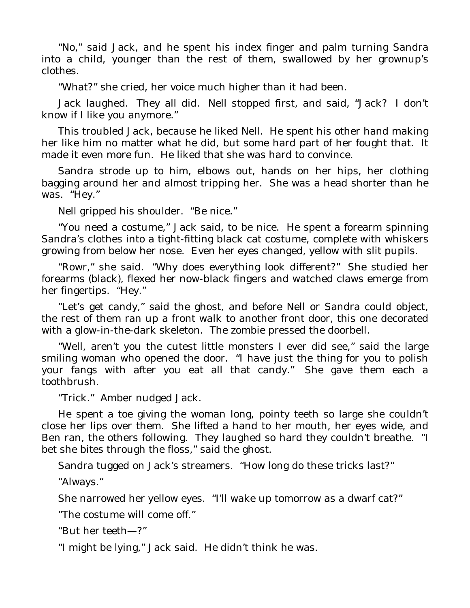"No," said Jack, and he spent his index finger and palm turning Sandra into a child, younger than the rest of them, swallowed by her grownup's clothes.

"What?" she cried, her voice much higher than it had been.

Jack laughed. They all did. Nell stopped first, and said, "Jack? I don't know if I like you anymore."

This troubled Jack, because he liked Nell. He spent his other hand making her like him no matter what he did, but some hard part of her fought that. It made it even more fun. He liked that she was hard to convince.

Sandra strode up to him, elbows out, hands on her hips, her clothing bagging around her and almost tripping her. She was a head shorter than he was. "Hey."

Nell gripped his shoulder. "Be nice."

"You need a costume," Jack said, to be nice. He spent a forearm spinning Sandra's clothes into a tight-fitting black cat costume, complete with whiskers growing from below her nose. Even her eyes changed, yellow with slit pupils.

"Rowr," she said. "Why does everything look different?" She studied her forearms (black), flexed her now-black fingers and watched claws emerge from her fingertips. "Hey."

"Let's get candy," said the ghost, and before Nell or Sandra could object, the rest of them ran up a front walk to another front door, this one decorated with a glow-in-the-dark skeleton. The zombie pressed the doorbell.

"Well, aren't you the cutest little monsters I ever did see," said the large smiling woman who opened the door. "I have just the thing for you to polish your fangs with after you eat all that candy." She gave them each a toothbrush.

"Trick." Amber nudged Jack.

He spent a toe giving the woman long, pointy teeth so large she couldn't close her lips over them. She lifted a hand to her mouth, her eyes wide, and Ben ran, the others following. They laughed so hard they couldn't breathe. "I bet she bites through the floss," said the ghost.

Sandra tugged on Jack's streamers. "How long do these tricks last?"

"Always."

She narrowed her yellow eyes. "I'll wake up tomorrow as a dwarf cat?"

"The costume will come off."

"But her teeth—?"

"I might be lying," Jack said. He didn't think he was.